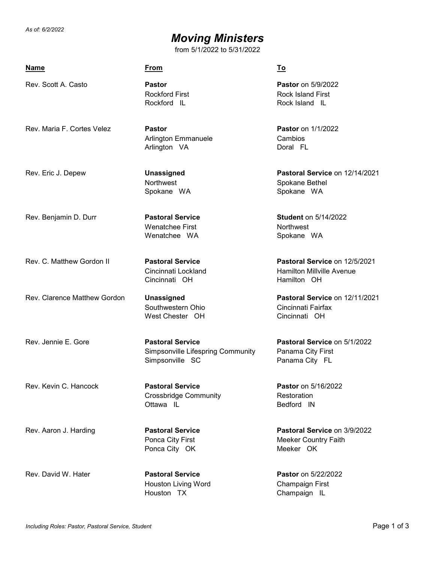*As of: 6/2/2022*

## *Moving Ministers*

from 5/1/2022 to 5/31/2022

| <b>Name</b>                  | <b>From</b>                                                                     | To                                                                        |
|------------------------------|---------------------------------------------------------------------------------|---------------------------------------------------------------------------|
| Rev. Scott A. Casto          | <b>Pastor</b><br><b>Rockford First</b><br>Rockford IL                           | <b>Pastor</b> on 5/9/2022<br><b>Rock Island First</b><br>Rock Island IL   |
| Rev. Maria F. Cortes Velez   | <b>Pastor</b><br><b>Arlington Emmanuele</b><br>Arlington VA                     | <b>Pastor</b> on 1/1/2022<br>Cambios<br>Doral FL                          |
| Rev. Eric J. Depew           | Unassigned<br>Northwest<br>Spokane WA                                           | Pastoral Service on 12/14/2021<br>Spokane Bethel<br>Spokane WA            |
| Rev. Benjamin D. Durr        | <b>Pastoral Service</b><br><b>Wenatchee First</b><br>Wenatchee WA               | <b>Student on 5/14/2022</b><br><b>Northwest</b><br>Spokane WA             |
| Rev. C. Matthew Gordon II    | <b>Pastoral Service</b><br>Cincinnati Lockland<br>Cincinnati OH                 | Pastoral Service on 12/5/2021<br>Hamilton Millville Avenue<br>Hamilton OH |
| Rev. Clarence Matthew Gordon | Unassigned<br>Southwestern Ohio<br>West Chester OH                              | Pastoral Service on 12/11/2021<br>Cincinnati Fairfax<br>Cincinnati OH     |
| Rev. Jennie E. Gore          | <b>Pastoral Service</b><br>Simpsonville Lifespring Community<br>Simpsonville SC | Pastoral Service on 5/1/2022<br>Panama City First<br>Panama City FL       |
| Rev. Kevin C. Hancock        | <b>Pastoral Service</b><br><b>Crossbridge Community</b><br>Ottawa IL            | <b>Pastor</b> on 5/16/2022<br>Restoration<br>Bedford IN                   |
| Rev. Aaron J. Harding        | <b>Pastoral Service</b><br>Ponca City First<br>Ponca City OK                    | Pastoral Service on 3/9/2022<br><b>Meeker Country Faith</b><br>Meeker OK  |
| Rev. David W. Hater          | <b>Pastoral Service</b><br><b>Houston Living Word</b><br>Houston TX             | <b>Pastor</b> on 5/22/2022<br>Champaign First<br>Champaign IL             |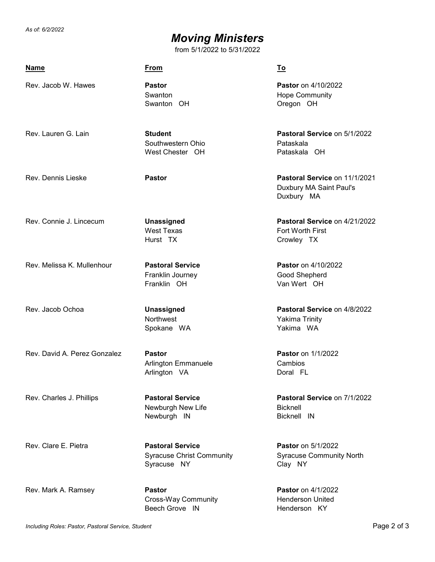*As of: 6/2/2022*

## *Moving Ministers*

from 5/1/2022 to 5/31/2022

| Name                         | <b>From</b>                                                                | <u>To</u>                                                               |
|------------------------------|----------------------------------------------------------------------------|-------------------------------------------------------------------------|
| Rev. Jacob W. Hawes          | <b>Pastor</b><br>Swanton<br>Swanton OH                                     | <b>Pastor</b> on 4/10/2022<br><b>Hope Community</b><br>Oregon OH        |
| Rev. Lauren G. Lain          | <b>Student</b><br>Southwestern Ohio<br>West Chester OH                     | Pastoral Service on 5/1/2022<br>Pataskala<br>Pataskala OH               |
| Rev. Dennis Lieske           | <b>Pastor</b>                                                              | Pastoral Service on 11/1/2021<br>Duxbury MA Saint Paul's<br>Duxbury MA  |
| Rev. Connie J. Lincecum      | <b>Unassigned</b><br><b>West Texas</b><br>Hurst TX                         | Pastoral Service on 4/21/2022<br>Fort Worth First<br>Crowley TX         |
| Rev. Melissa K. Mullenhour   | <b>Pastoral Service</b><br>Franklin Journey<br>Franklin OH                 | <b>Pastor</b> on 4/10/2022<br>Good Shepherd<br>Van Wert OH              |
| Rev. Jacob Ochoa             | <b>Unassigned</b><br>Northwest<br>Spokane WA                               | Pastoral Service on 4/8/2022<br>Yakima Trinity<br>Yakima WA             |
| Rev. David A. Perez Gonzalez | <b>Pastor</b><br>Arlington Emmanuele<br>Arlington VA                       | <b>Pastor</b> on 1/1/2022<br>Cambios<br>Doral FL                        |
| Rev. Charles J. Phillips     | <b>Pastoral Service</b><br>Newburgh New Life<br>Newburgh IN                | Pastoral Service on 7/1/2022<br><b>Bicknell</b><br>Bicknell IN          |
| Rev. Clare E. Pietra         | <b>Pastoral Service</b><br><b>Syracuse Christ Community</b><br>Syracuse NY | <b>Pastor</b> on 5/1/2022<br><b>Syracuse Community North</b><br>Clay NY |
| Rev. Mark A. Ramsey          | <b>Pastor</b><br><b>Cross-Way Community</b><br>Beech Grove IN              | <b>Pastor</b> on 4/1/2022<br><b>Henderson United</b><br>Henderson KY    |